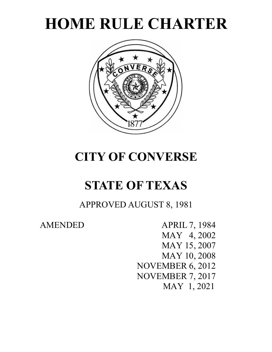



# **CITY OF CONVERSE**

# **STATE OF TEXAS**

APPROVED AUGUST 8, 1981

AMENDED APRIL 7, 1984 MAY 4, 2002 MAY 15, 2007 MAY 10, 2008 NOVEMBER 6, 2012 NOVEMBER 7, 2017 MAY 1, 2021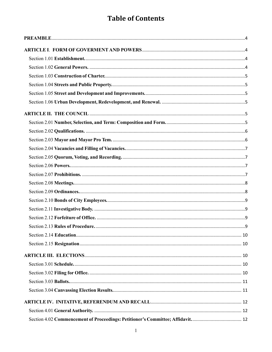# **Table of Contents**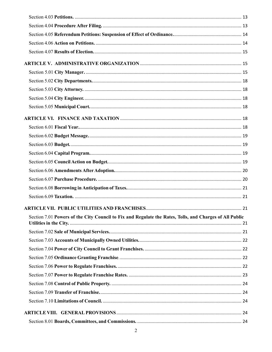| Section 7.01 Powers of the City Council to Fix and Regulate the Rates, Tolls, and Charges of All Public |  |
|---------------------------------------------------------------------------------------------------------|--|
|                                                                                                         |  |
|                                                                                                         |  |
|                                                                                                         |  |
|                                                                                                         |  |
|                                                                                                         |  |
|                                                                                                         |  |
|                                                                                                         |  |
|                                                                                                         |  |
|                                                                                                         |  |
|                                                                                                         |  |
|                                                                                                         |  |
|                                                                                                         |  |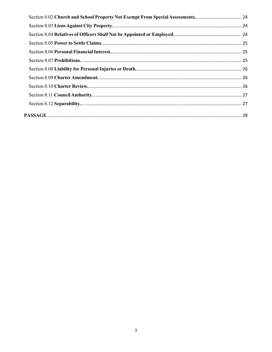| Section 8.02 Church and School Property Not Exempt From Special Assessments 24 |  |
|--------------------------------------------------------------------------------|--|
|                                                                                |  |
|                                                                                |  |
|                                                                                |  |
|                                                                                |  |
|                                                                                |  |
|                                                                                |  |
|                                                                                |  |
|                                                                                |  |
|                                                                                |  |
|                                                                                |  |
|                                                                                |  |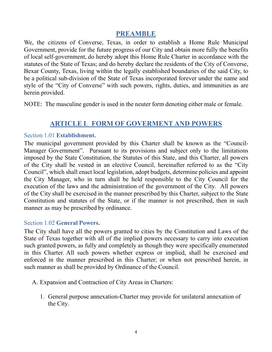# **PREAMBLE**

<span id="page-4-0"></span>We, the citizens of Converse, Texas, in order to establish a Home Rule Municipal Government, provide for the future progress of our City and obtain more fully the benefits of local self-government, do hereby adopt this Home Rule Charter in accordance with the statutes of the State of Texas; and do hereby declare the residents of the City of Converse, Bexar County, Texas, living within the legally established boundaries of the said City, to be a political sub-division of the State of Texas incorporated forever under the name and style of the "City of Converse" with such powers, rights, duties, and immunities as are herein provided.

NOTE: The masculine gender is used in the neuter form denoting either male or female.

# **ARTICLE I**. **FORM OF GOVERMENT AND POWERS**

#### <span id="page-4-2"></span><span id="page-4-1"></span>Section 1.01 **Establishment.**

The municipal government provided by this Charter shall be known as the "Council-Manager Government". Pursuant to its provisions and subject only to the limitations imposed by the State Constitution, the Statutes of this State, and this Charter, all powers of the City shall be vested in an elective Council, hereinafter referred to as the "City Council", which shall enact local legislation, adopt budgets, determine policies and appoint the City Manager, who in turn shall be held responsible to the City Council for the execution of the laws and the administration of the government of the City. All powers of the City shall be exercised in the manner prescribed by this Charter, subject to the State Constitution and statutes of the State, or if the manner is not prescribed, then in such manner as may be prescribed by ordinance.

#### <span id="page-4-3"></span>Section 1.02 **General Powers.**

The City shall have all the powers granted to cities by the Constitution and Laws of the State of Texas together with all of the implied powers necessary to carry into execution such granted powers, as fully and completely as though they were specifically enumerated in this Charter. All such powers whether express or implied, shall be exercised and enforced in the manner prescribed in this Charter; or when not prescribed herein, in such manner as shall be provided by Ordinance of the Council.

- A. Expansion and Contraction of City Areas in Charters:
	- 1. General purpose annexation-Charter may provide for unilateral annexation of the City.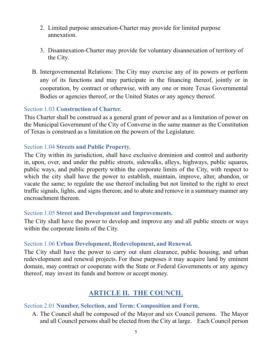- 2. Limited purpose annexation-Charter may provide for limited purpose annexation.
- 3. Disannexation-Charter may provide for voluntary disannexation of territory of the City.
- B. Intergovernmental Relations: The City may exercise any of its powers or perform any of its functions and may participate in the financing thereof, jointly or in cooperation, by contract or otherwise, with any one or more Texas Governmental Bodies or agencies thereof, or the United States or any agency thereof.

# <span id="page-5-0"></span>Section 1.03 **Construction of Charter.**

This Charter shall be construed as a general grant of power and as a limitation of power on the Municipal Government of the City of Converse in the same manner as the Constitution of Texas is construed as a limitation on the powers of the Legislature.

# <span id="page-5-1"></span>Section 1.04 **Streets and Public Property.**

The City within its jurisdiction, shall have exclusive dominion and control and authority in, upon, over, and under the public streets, sidewalks, alleys, highways, public squares, public ways, and public property within the corporate limits of the City, with respect to which the city shall have the power to establish, maintain, improve, alter, abandon, or vacate the same; to regulate the use thereof including but not limited to the right to erect traffic signals, lights, and signs thereon; and to abate and remove in a summary manner any encroachment thereon.

#### <span id="page-5-2"></span>Section 1.05 **Street and Development and Improvements.**

The City shall have the power to develop and improve any and all public streets or ways within the corporate limits of the City.

# <span id="page-5-3"></span>Section 1.06 **Urban Development, Redevelopment, and Renewal.**

The City shall have the power to carry out slum clearance, public housing, and urban redevelopment and renewal projects. For these purposes it may acquire land by eminent domain, may contract or cooperate with the State or Federal Governments or any agency thereof, may invest its funds and borrow or accept money.

# **ARTICLE II. THE COUNCIL**

# <span id="page-5-5"></span><span id="page-5-4"></span>Section 2.01 **Number, Selection, and Term: Composition and Form.**

A. The Council shall be composed of the Mayor and six Council persons. The Mayor and all Council persons shall be elected from the City at large. Each Council person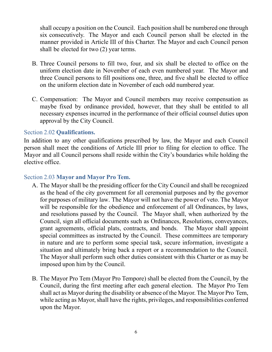shall occupy a position on the Council. Each position shall be numbered one through six consecutively. The Mayor and each Council person shall be elected in the manner provided in Article III of this Charter. The Mayor and each Council person shall be elected for two (2) year terms.

- B. Three Council persons to fill two, four, and six shall be elected to office on the uniform election date in November of each even numbered year. The Mayor and three Council persons to fill positions one, three, and five shall be elected to office on the uniform election date in November of each odd numbered year.
- C. Compensation: The Mayor and Council members may receive compensation as maybe fixed by ordinance provided, however, that they shall be entitled to all necessary expenses incurred in the performance of their official counsel duties upon approval by the City Council.

#### <span id="page-6-0"></span>Section 2.02 **Qualifications.**

In addition to any other qualifications prescribed by law, the Mayor and each Council person shall meet the conditions of Article III prior to filing for election to office. The Mayor and all Council persons shall reside within the City's boundaries while holding the elective office.

#### <span id="page-6-1"></span>Section 2.03 **Mayor and Mayor Pro Tem.**

- A. The Mayor shall be the presiding officer for the City Council and shall be recognized as the head of the city government for all ceremonial purposes and by the governor for purposes of military law. The Mayor will not have the power of veto. The Mayor will be responsible for the obedience and enforcement of all Ordinances, by laws, and resolutions passed by the Council. The Mayor shall, when authorized by the Council, sign all official documents such as Ordinances, Resolutions, conveyances, grant agreements, official plats, contracts, and bonds. The Mayor shall appoint special committees as instructed by the Council. These committees are temporary in nature and are to perform some special task, secure information, investigate a situation and ultimately bring back a report or a recommendation to the Council. The Mayor shall perform such other duties consistent with this Charter or as may be imposed upon him by the Council.
- B. The Mayor Pro Tem (Mayor Pro Tempore) shall be elected from the Council, by the Council, during the first meeting after each general election. The Mayor Pro Tem shall act as Mayor during the disability or absence of the Mayor. The Mayor Pro Tem, while acting as Mayor, shall have the rights, privileges, and responsibilities conferred upon the Mayor.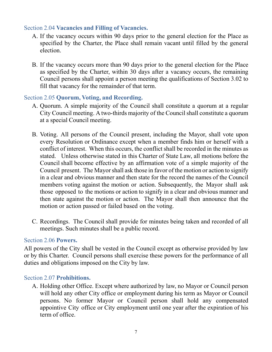#### <span id="page-7-0"></span>Section 2.04 **Vacancies and Filling of Vacancies.**

- A. If the vacancy occurs within 90 days prior to the general election for the Place as specified by the Charter, the Place shall remain vacant until filled by the general election.
- B. If the vacancy occurs more than 90 days prior to the general election for the Place as specified by the Charter, within 30 days after a vacancy occurs, the remaining Council persons shall appoint a person meeting the qualifications of Section 3.02 to fill that vacancy for the remainder of that term.

#### <span id="page-7-1"></span>Section 2.05 **Quorum, Voting, and Recording.**

- A. Quorum. A simple majority of the Council shall constitute a quorum at a regular City Council meeting. A two-thirds majority of the Council shall constitute a quorum at a special Council meeting.
- B. Voting. All persons of the Council present, including the Mayor, shall vote upon every Resolution or Ordinance except when a member finds him or herself with a conflict of interest. When this occurs, the conflict shall be recorded in the minutes as stated. Unless otherwise stated in this Charter of State Law, all motions before the Council shall become effective by an affirmation vote of a simple majority of the Council present. The Mayor shall ask those in favor of the motion or action to signify in a clear and obvious manner and then state for the record the names of the Council members voting against the motion or action. Subsequently, the Mayor shall ask those opposed to the motions or action to signify in a clear and obvious manner and then state against the motion or action. The Mayor shall then announce that the motion or action passed or failed based on the voting.
- C. Recordings. The Council shall provide for minutes being taken and recorded of all meetings. Such minutes shall be a public record.

#### <span id="page-7-2"></span>Section 2.06 **Powers.**

All powers of the City shall be vested in the Council except as otherwise provided by law or by this Charter. Council persons shall exercise these powers for the performance of all duties and obligations imposed on the City by law.

#### <span id="page-7-3"></span>Section 2.07 **Prohibitions.**

A. Holding other Office. Except where authorized by law, no Mayor or Council person will hold any other City office or employment during his term as Mayor or Council persons. No former Mayor or Council person shall hold any compensated appointive City office or City employment until one year after the expiration of his term of office.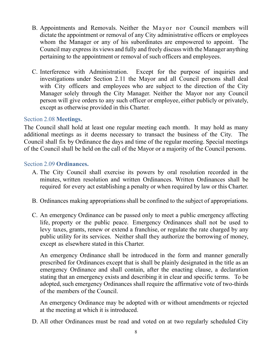- B. Appointments and Removals. Neither the Mayor nor Council members will dictate the appointment or removal of any City administrative officers or employees whom the Manager or any of his subordinates are empowered to appoint. The Council may express its views and fully and freely discuss with the Manager anything pertaining to the appointment or removal of such officers and employees.
- C. Interference with Administration. Except for the purpose of inquiries and investigations under Section 2.11 the Mayor and all Council persons shall deal with City officers and employees who are subject to the direction of the City Manager solely through the City Manager. Neither the Mayor nor any Council person will give orders to any such officer or employee, either publicly or privately, except as otherwise provided in this Charter.

#### <span id="page-8-0"></span>Section 2.08 **Meetings.**

The Council shall hold at least one regular meeting each month. It may hold as many additional meetings as it deems necessary to transact the business of the City. The Council shall fix by Ordinance the days and time of the regular meeting. Special meetings of the Council shall be held on the call of the Mayor or a majority of the Council persons.

#### <span id="page-8-1"></span>Section 2.09 **Ordinances.**

- A. The City Council shall exercise its powers by oral resolution recorded in the minutes, written resolution and written Ordinances. Written Ordinances shall be required for every act establishing a penalty or when required by law or this Charter.
- B. Ordinances making appropriations shall be confined to the subject of appropriations.
- C. An emergency Ordinance can be passed only to meet a public emergency affecting life, property or the public peace. Emergency Ordinances shall not be used to levy taxes, grants, renew or extend a franchise, or regulate the rate charged by any public utility for its services. Neither shall they authorize the borrowing of money, except as elsewhere stated in this Charter.

An emergency Ordinance shall be introduced in the form and manner generally prescribed for Ordinances except that is shall be plainly designated in the title as an emergency Ordinance and shall contain, after the enacting clause, a declaration stating that an emergency exists and describing it in clear and specific terms. To be adopted, such emergency Ordinances shall require the affirmative vote of two-thirds of the members of the Council.

An emergency Ordinance may be adopted with or without amendments or rejected at the meeting at which it is introduced.

D. All other Ordinances must be read and voted on at two regularly scheduled City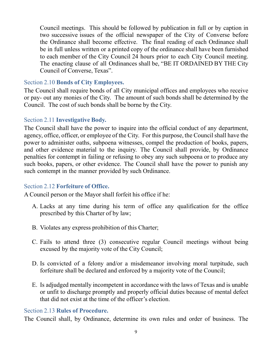Council meetings. This should be followed by publication in full or by caption in two successive issues of the official newspaper of the City of Converse before the Ordinance shall become effective. The final reading of each Ordinance shall be in full unless written or a printed copy of the ordinance shall have been furnished to each member of the City Council 24 hours prior to each City Council meeting. The enacting clause of all Ordinances shall be, "BE IT ORDAINED BY THE City Council of Converse, Texas".

#### <span id="page-9-0"></span>Section 2.10 **Bonds of City Employees.**

The Council shall require bonds of all City municipal offices and employees who receive or pay- out any monies of the City. The amount of such bonds shall be determined by the Council. The cost of such bonds shall be borne by the City.

#### <span id="page-9-1"></span>Section 2.11 **Investigative Body.**

The Council shall have the power to inquire into the official conduct of any department, agency, office, officer, or employee of the City. For this purpose, the Council shall have the power to administer oaths, subpoena witnesses, compel the production of books, papers, and other evidence material to the inquiry. The Council shall provide, by Ordinance penalties for contempt in failing or refusing to obey any such subpoena or to produce any such books, papers, or other evidence. The Council shall have the power to punish any such contempt in the manner provided by such Ordinance.

#### <span id="page-9-2"></span>Section 2.12 **Forfeiture of Office.**

A Council person or the Mayor shall forfeit his office if he:

- A. Lacks at any time during his term of office any qualification for the office prescribed by this Charter of by law;
- B. Violates any express prohibition of this Charter;
- C. Fails to attend three (3) consecutive regular Council meetings without being excused by the majority vote of the City Council;
- D. Is convicted of a felony and/or a misdemeanor involving moral turpitude, such forfeiture shall be declared and enforced by a majority vote of the Council;
- E. Is adjudged mentally incompetent in accordance with the laws of Texas and is unable or unfit to discharge promptly and properly official duties because of mental defect that did not exist at the time of the officer's election.

#### <span id="page-9-3"></span>Section 2.13 **Rules of Procedure.**

The Council shall, by Ordinance, determine its own rules and order of business. The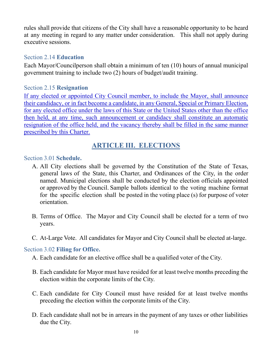rules shall provide that citizens of the City shall have a reasonable opportunity to be heard at any meeting in regard to any matter under consideration. This shall not apply during executive sessions.

#### <span id="page-10-0"></span>Section 2.14 **Education**

Each Mayor/Councilperson shall obtain a minimum of ten (10) hours of annual municipal government training to include two (2) hours of budget/audit training.

#### <span id="page-10-1"></span>Section 2.15 **Resignation**

If any elected or appointed City Council member, to include the Mayor, shall announce their candidacy, or in fact become a candidate, in any General, Special or Primary Election, for any elected office under the laws of this State or the United States other than the office then held, at any time, such announcement or candidacy shall constitute an automatic resignation of the office held, and the vacancy thereby shall be filled in the same manner prescribed by this Charter.

# **ARTICLE III. ELECTIONS**

#### <span id="page-10-3"></span><span id="page-10-2"></span>Section 3.01 **Schedule.**

- A. All City elections shall be governed by the Constitution of the State of Texas, general laws of the State, this Charter, and Ordinances of the City, in the order named. Municipal elections shall be conducted by the election officials appointed or approved by the Council. Sample ballots identical to the voting machine format for the specific election shall be posted in the voting place (s) for purpose of voter orientation.
- B. Terms of Office. The Mayor and City Council shall be elected for a term of two years.
- C. At-Large Vote. All candidates for Mayor and City Council shall be elected at-large.

# <span id="page-10-4"></span>Section 3.02 **Filing for Office.**

- A. Each candidate for an elective office shall be a qualified voter of the City.
- B. Each candidate for Mayor must have resided for at least twelve months preceding the election within the corporate limits of the City.
- C. Each candidate for City Council must have resided for at least twelve months preceding the election within the corporate limits of the City.
- D. Each candidate shall not be in arrears in the payment of any taxes or other liabilities due the City.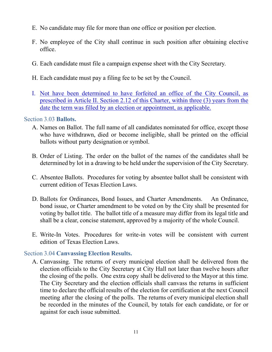- E. No candidate may file for more than one office or position per election.
- F. No employee of the City shall continue in such position after obtaining elective office.
- G. Each candidate must file a campaign expense sheet with the City Secretary.
- H. Each candidate must pay a filing fee to be set by the Council.
- I. Not have been determined to have forfeited an office of the City Council, as prescribed in Article II. Section 2.12 of this Charter, within three (3) years from the date the term was filled by an election or appointment, as applicable.

#### <span id="page-11-0"></span>Section 3.03 **Ballots.**

- A. Names on Ballot. The full name of all candidates nominated for office, except those who have withdrawn, died or become ineligible, shall be printed on the official ballots without party designation or symbol.
- B. Order of Listing. The order on the ballot of the names of the candidates shall be determined by lot in a drawing to be held under the supervision of the City Secretary.
- C. Absentee Ballots. Procedures for voting by absentee ballot shall be consistent with current edition of Texas Election Laws.
- D. Ballots for Ordinances, Bond Issues, and Charter Amendments. An Ordinance, bond issue, or Charter amendment to be voted on by the City shall be presented for voting by ballot title. The ballot title of a measure may differ from its legal title and shall be a clear, concise statement, approved by a majority of the whole Council.
- E. Write-In Votes. Procedures for write-in votes will be consistent with current edition of Texas Election Laws.

#### <span id="page-11-1"></span>Section 3.04 **Canvassing Election Results.**

A. Canvassing. The returns of every municipal election shall be delivered from the election officials to the City Secretary at City Hall not later than twelve hours after the closing of the polls. One extra copy shall be delivered to the Mayor at this time. The City Secretary and the election officials shall canvass the returns in sufficient time to declare the official results of the election for certification at the next Council meeting after the closing of the polls. The returns of every municipal election shall be recorded in the minutes of the Council, by totals for each candidate, or for or against for each issue submitted.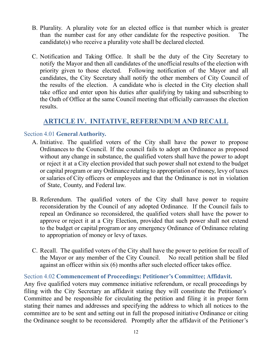- B. Plurality. A plurality vote for an elected office is that number which is greater than the number cast for any other candidate for the respective position. The candidate(s) who receive a plurality vote shall be declared elected.
- C. Notification and Taking Office. It shall be the duty of the City Secretary to notify the Mayor and then all candidates of the unofficial results of the election with priority given to those elected. Following notification of the Mayor and all candidates, the City Secretary shall notify the other members of City Council of the results of the election. A candidate who is elected in the City election shall take office and enter upon his duties after qualifying by taking and subscribing to the Oath of Office at the same Council meeting that officially canvasses the election results.

# **ARTICLE IV. INITATIVE, REFERENDUM AND RECALL**

# <span id="page-12-1"></span><span id="page-12-0"></span>Section 4.01 **General Authority.**

- A. Initiative. The qualified voters of the City shall have the power to propose Ordinances to the Council. If the council fails to adopt an Ordinance as proposed without any change in substance, the qualified voters shall have the power to adopt or reject it at a City election provided that such power shall not extend to the budget or capital program or any Ordinance relating to appropriation of money, levy of taxes or salaries of City officers or employees and that the Ordinance is not in violation of State, County, and Federal law.
- B. Referendum. The qualified voters of the City shall have power to require reconsideration by the Council of any adopted Ordinance. If the Council fails to repeal an Ordinance so reconsidered, the qualified voters shall have the power to approve or reject it at a City Election, provided that such power shall not extend to the budget or capital program or any emergency Ordinance of Ordinance relating to appropriation of money or levy of taxes.
- C. Recall. The qualified voters of the City shall have the power to petition for recall of the Mayor or any member of the City Council. No recall petition shall be filed against an officer within six (6) months after such elected officer takes office.

# <span id="page-12-2"></span>Section 4.02 **Commencement of Proceedings: Petitioner's Committee; Affidavit.**

Any five qualified voters may commence initiative referendum, or recall proceedings by filing with the City Secretary an affidavit stating they will constitute the Petitioner's Committee and be responsible for circulating the petition and filing it in proper form stating their names and addresses and specifying the address to which all notices to the committee are to be sent and setting out in full the proposed initiative Ordinance or citing the Ordinance sought to be reconsidered. Promptly after the affidavit of the Petitioner's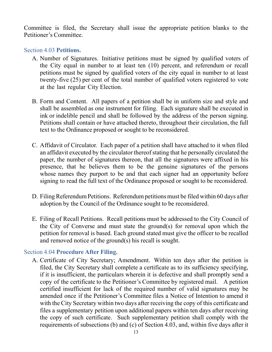Committee is filed, the Secretary shall issue the appropriate petition blanks to the Petitioner's Committee.

#### <span id="page-13-0"></span>Section 4.03 **Petitions.**

- A. Number of Signatures. Initiative petitions must be signed by qualified voters of the City equal in number to at least ten (10) percent, and referendum or recall petitions must be signed by qualified voters of the city equal in number to at least twenty-five (25) per cent of the total number of qualified voters registered to vote at the last regular City Election.
- B. Form and Content. All papers of a petition shall be in uniform size and style and shall be assembled as one instrument for filing. Each signature shall be executed in ink or indelible pencil and shall be followed by the address of the person signing. Petitions shall contain or have attached thereto, throughout their circulation, the full text to the Ordinance proposed or sought to be reconsidered.
- C. Affidavit of Circulator. Each paper of a petition shall have attached to it when filed an affidavit executed by the circulator thereofstating that he personally circulated the paper, the number of signatures thereon, that all the signatures were affixed in his presence, that he believes them to be the genuine signatures of the persons whose names they purport to be and that each signer had an opportunity before signing to read the full text of the Ordinance proposed or sought to be reconsidered.
- D. Filing Referendum Petitions. Referendum petitions must be filed within 60 days after adoption by the Council of the Ordinance sought to be reconsidered.
- E. Filing of Recall Petitions. Recall petitions must be addressed to the City Council of the City of Converse and must state the ground(s) for removal upon which the petition for removal is based. Each ground stated must give the officer to be recalled and removed notice of the ground(s) his recall is sought.

#### <span id="page-13-1"></span>Section 4.04 **Procedure After Filing.**

A. Certificate of City Secretary; Amendment. Within ten days after the petition is filed, the City Secretary shall complete a certificate as to its sufficiency specifying, if it is insufficient, the particulars wherein it is defective and shall promptly send a copy of the certificate to the Petitioner's Committee by registered mail. A petition certified insufficient for lack of the required number of valid signatures may be amended once if the Petitioner's Committee files a Notice of Intention to amend it with the City Secretary within two days after receiving the copy of this certificate and files a supplementary petition upon additional papers within ten days after receiving the copy of such certificate. Such supplementary petition shall comply with the requirements of subsections (b) and (c) of Section 4.03, and, within five days after it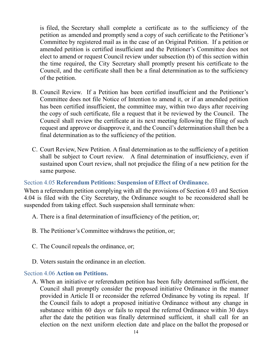is filed, the Secretary shall complete a certificate as to the sufficiency of the petition as amended and promptly send a copy of such certificate to the Petitioner's Committee by registered mail as in the case of an Original Petition. If a petition or amended petition is certified insufficient and the Petitioner's Committee does not elect to amend or request Council review under subsection (b) of this section within the time required, the City Secretary shall promptly present his certificate to the Council, and the certificate shall then be a final determination as to the sufficiency of the petition.

- B. Council Review. If a Petition has been certified insufficient and the Petitioner's Committee does not file Notice of Intention to amend it, or if an amended petition has been certified insufficient, the committee may, within two days after receiving the copy of such certificate, file a request that it be reviewed by the Council. The Council shall review the certificate at its next meeting following the filing of such request and approve or disapprove it, and the Council's determination shall then be a final determination as to the sufficiency of the petition.
- C. Court Review, New Petition. A final determination as to the sufficiency of a petition shall be subject to Court review. A final determination of insufficiency, even if sustained upon Court review, shall not prejudice the filing of a new petition for the same purpose.

# <span id="page-14-0"></span>Section 4.05 **Referendum Petitions: Suspension of Effect of Ordinance.**

When a referendum petition complying with all the provisions of Section 4.03 and Section 4.04 is filed with the City Secretary, the Ordinance sought to be reconsidered shall be suspended from taking effect. Such suspension shall terminate when:

- A. There is a final determination of insufficiency of the petition, or;
- B. The Petitioner's Committee withdraws the petition, or;
- C. The Council repeals the ordinance, or;
- D. Voters sustain the ordinance in an election.

#### <span id="page-14-1"></span>Section 4.06 **Action on Petitions.**

A. When an initiative or referendum petition has been fully determined sufficient, the Council shall promptly consider the proposed initiative Ordinance in the manner provided in Article II or reconsider the referred Ordinance by voting its repeal. If the Council fails to adopt a proposed initiative Ordinance without any change in substance within 60 days or fails to repeal the referred Ordinance within 30 days after the date the petition was finally determined sufficient, it shall call for an election on the next uniform election date and place on the ballot the proposed or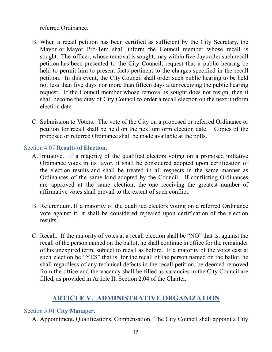referred Ordinance.

- B. When a recall petition has been certified as sufficient by the City Secretary, the Mayor or Mayor Pro-Tem shall inform the Council member whose recall is sought. The officer, whose removal is sought, may within five days after such recall petition has been presented to the City Council, request that a public hearing be held to permit him to present facts pertinent to the charges specified in the recall petition. In this event, the City Council shall order such public hearing to be held not less than five days nor more than fifteen days after receiving the public hearing request. If the Council member whose removal is sought does not resign, then it shall become the duty of City Council to order a recall election on the next uniform election date.
- C. Submission to Voters. The vote of the City on a proposed or referred Ordinance or petition for recall shall be held on the next uniform election date. Copies of the proposed or referred Ordinance shall be made available at the polls.

# <span id="page-15-0"></span>Section 4.07 **Results of Election.**

- A. Initiative. If a majority of the qualified electors voting on a proposed initiative Ordinance votes in its favor, it shall be considered adopted upon certification of the election results and shall be treated in all respects in the same manner as Ordinances of the same kind adopted by the Council. If conflicting Ordinances are approved at the same election, the one receiving the greatest number of affirmative votes shall prevail to the extent of such conflict.
- B. Referendum. If a majority of the qualified electors voting on a referred Ordinance vote against it, it shall be considered repealed upon certification of the election results.
- C. Recall. If the majority of votes at a recall election shall be "NO" that is, against the recall of the person named on the ballot, he shall continue in office for the remainder of his unexpired term, subject to recall as before. If a majority of the votes cast at such election be "YES" that is, for the recall of the person named on the ballot, he shall regardless of any technical defects in the recall petition, be deemed removed from the office and the vacancy shall be filled as vacancies in the City Council are filled, as provided in Article II, Section 2.04 of the Charter.

# **ARTICLE V. ADMINISTRATIVE ORGANIZATION**

# <span id="page-15-2"></span><span id="page-15-1"></span>Section 5.01 **City Manager.**

A. Appointment, Qualifications, Compensation. The City Council shall appoint a City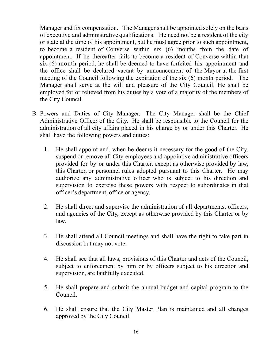Manager and fix compensation. The Manager shall be appointed solely on the basis of executive and administrative qualifications. He need not be a resident of the city or state at the time of his appointment, but he must agree prior to such appointment, to become a resident of Converse within six (6) months from the date of appointment. If he thereafter fails to become a resident of Converse within that six (6) month period, he shall be deemed to have forfeited his appointment and the office shall be declared vacant by announcement of the Mayor at the first meeting of the Council following the expiration of the six (6) month period. The Manager shall serve at the will and pleasure of the City Council. He shall be employed for or relieved from his duties by a vote of a majority of the members of the City Council.

- B. Powers and Duties of City Manager. The City Manager shall be the Chief Administrative Officer of the City. He shall be responsible to the Council for the administration of all city affairs placed in his charge by or under this Charter. He shall have the following powers and duties:
	- 1. He shall appoint and, when he deems it necessary for the good of the City, suspend or remove all City employees and appointive administrative officers provided for by or under this Charter, except as otherwise provided by law, this Charter, or personnel rules adopted pursuant to this Charter. He may authorize any administrative officer who is subject to his direction and supervision to exercise these powers with respect to subordinates in that officer's department, office or agency.
	- 2. He shall direct and supervise the administration of all departments, officers, and agencies of the City, except as otherwise provided by this Charter or by law.
	- 3. He shall attend all Council meetings and shall have the right to take part in discussion but may not vote.
	- 4. He shall see that all laws, provisions of this Charter and acts of the Council, subject to enforcement by him or by officers subject to his direction and supervision, are faithfully executed.
	- 5. He shall prepare and submit the annual budget and capital program to the Council.
	- 6. He shall ensure that the City Master Plan is maintained and all changes approved by the City Council.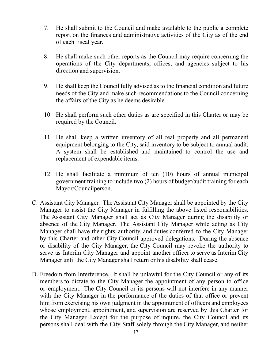- 7. He shall submit to the Council and make available to the public a complete report on the finances and administrative activities of the City as of the end of each fiscal year.
- 8. He shall make such other reports as the Council may require concerning the operations of the City departments, offices, and agencies subject to his direction and supervision.
- 9. He shall keep the Council fully advised as to the financial condition and future needs of the City and make such recommendations to the Council concerning the affairs of the City as he deems desirable.
- 10. He shall perform such other duties as are specified in this Charter or may be required by the Council.
- 11. He shall keep a written inventory of all real property and all permanent equipment belonging to the City, said inventory to be subject to annual audit. A system shall be established and maintained to control the use and replacement of expendable items.
- 12. He shall facilitate a minimum of ten (10) hours of annual municipal government training to include two (2) hours of budget/audit training for each Mayor/Councilperson.
- C. Assistant City Manager. The Assistant City Manager shall be appointed by the City Manager to assist the City Manager in fulfilling the above listed responsibilities. The Assistant City Manager shall act as City Manager during the disability or absence of the City Manager. The Assistant City Manager while acting as City Manager shall have the rights, authority, and duties conferred to the City Manager by this Charter and other City Council approved delegations. During the absence or disability of the City Manager, the City Council may revoke the authority to serve as Interim City Manager and appoint another officer to serve as Interim City Manager until the City Manager shall return or his disability shall cease.
- D. Freedom from Interference. It shall be unlawful for the City Council or any of its members to dictate to the City Manager the appointment of any person to office or employment. The City Council or its persons will not interfere in any manner with the City Manager in the performance of the duties of that office or prevent him from exercising his own judgment in the appointment of officers and employees whose employment, appointment, and supervision are reserved by this Charter for the City Manager. Except for the purpose of inquire, the City Council and its persons shall deal with the City Staff solely through the City Manager, and neither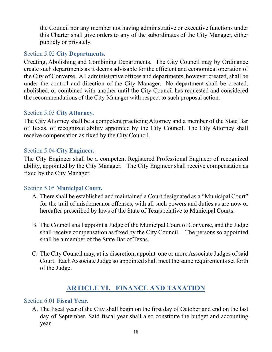the Council nor any member not having administrative or executive functions under this Charter shall give orders to any of the subordinates of the City Manager, either publicly or privately.

### <span id="page-18-0"></span>Section 5.02 **City Departments.**

Creating, Abolishing and Combining Departments. The City Council may by Ordinance create such departments as it deems advisable for the efficient and economical operation of the City of Converse. All administrative offices and departments, however created, shall be under the control and direction of the City Manager. No department shall be created, abolished, or combined with another until the City Council has requested and considered the recommendations of the City Manager with respect to such proposal action.

# <span id="page-18-1"></span>Section 5.03 **City Attorney.**

The City Attorney shall be a competent practicing Attorney and a member of the State Bar of Texas, of recognized ability appointed by the City Council. The City Attorney shall receive compensation as fixed by the City Council.

#### <span id="page-18-2"></span>Section 5.04 **City Engineer.**

The City Engineer shall be a competent Registered Professional Engineer of recognized ability, appointed by the City Manager. The City Engineer shall receive compensation as fixed by the City Manager.

#### <span id="page-18-3"></span>Section 5.05 **Municipal Court.**

- A. There shall be established and maintained a Court designated as a "Municipal Court" for the trail of misdemeanor offenses, with all such powers and duties as are now or hereafter prescribed by laws of the State of Texas relative to Municipal Courts.
- B. The Council shall appoint a Judge of the Municipal Court of Converse, and the Judge shall receive compensation as fixed by the City Council. The persons so appointed shall be a member of the State Bar of Texas.
- C. The City Council may, at its discretion, appoint one or moreAssociate Judges of said Court. Each Associate Judge so appointed shall meet the same requirements set forth of the Judge.

# **ARTICLE VI. FINANCE AND TAXATION**

#### <span id="page-18-5"></span><span id="page-18-4"></span>Section 6.01 **Fiscal Year.**

A. The fiscal year of the City shall begin on the first day of October and end on the last day of September. Said fiscal year shall also constitute the budget and accounting year.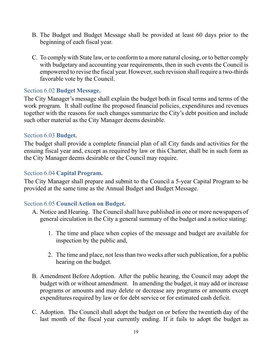- B. The Budget and Budget Message shall be provided at least 60 days prior to the beginning of each fiscal year.
- C. To comply with State law, or to conform to a more natural closing, or to better comply with budgetary and accounting year requirements, then in such events the Council is empowered to revise the fiscal year. However, such revision shall require a two-thirds favorable vote by the Council.

#### <span id="page-19-0"></span>Section 6.02 **Budget Message.**

The City Manager's message shall explain the budget both in fiscal terms and terms of the work program. It shall outline the proposed financial policies, expenditures and revenues together with the reasons for such changes summarize the City's debt position and include such other material as the City Manager deems desirable.

#### <span id="page-19-1"></span>Section 6.03 **Budget.**

The budget shall provide a complete financial plan of all City funds and activities for the ensuing fiscal year and, except as required by law or this Charter, shall be in such form as the City Manager deems desirable or the Council may require.

#### <span id="page-19-2"></span>Section 6.04 **Capital Program.**

The City Manager shall prepare and submit to the Council a 5-year Capital Program to be provided at the same time as the Annual Budget and Budget Message.

# <span id="page-19-3"></span>Section 6.05 **Council Action on Budget.**

- A. Notice and Hearing. The Council shall have published in one or more newspapers of general circulation in the City a general summary of the budget and a notice stating:
	- 1. The time and place when copies of the message and budget are available for inspection by the public and,
	- 2. The time and place, not less than two weeks after such publication, for a public hearing on the budget.
- B. Amendment Before Adoption. After the public hearing, the Council may adopt the budget with or without amendment. In amending the budget, it may add or increase programs or amounts and may delete or decrease any programs or amounts except expenditures required by law or for debt service or for estimated cash deficit.
- C. Adoption. The Council shall adopt the budget on or before the twentieth day of the last month of the fiscal year currently ending. If it fails to adopt the budget as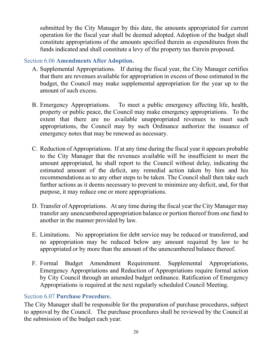submitted by the City Manager by this date, the amounts appropriated for current operation for the fiscal year shall be deemed adopted. Adoption of the budget shall constitute appropriations of the amounts specified therein as expenditures from the funds indicated and shall constitute a levy of the property tax therein proposed.

#### <span id="page-20-0"></span>Section 6.06 **Amendments After Adoption.**

- A. Supplemental Appropriations. If during the fiscal year, the City Manager certifies that there are revenues available for appropriation in excess of those estimated in the budget, the Council may make supplemental appropriation for the year up to the amount of such excess.
- B. Emergency Appropriations. To meet a public emergency affecting life, health, property or public peace, the Council may make emergency appropriations. To the extent that there are no available unappropriated revenues to meet such appropriations, the Council may by such Ordinance authorize the issuance of emergency notes that may be renewed as necessary.
- C. Reduction of Appropriations. If at any time during the fiscal year it appears probable to the City Manager that the revenues available will be insufficient to meet the amount appropriated, he shall report to the Council without delay, indicating the estimated amount of the deficit, any remedial action taken by him and his recommendations as to any other steps to be taken. The Council shall then take such further actions as it deems necessary to prevent to minimize any deficit, and, for that purpose, it may reduce one or more appropriations.
- D. Transfer of Appropriations. At any time during the fiscal year the City Manager may transfer any unencumbered appropriation balance or portion thereof from one fund to another in the manner provided by law.
- E. Limitations. No appropriation for debt service may be reduced or transferred, and no appropriation may be reduced below any amount required by law to be appropriated or by more than the amount of the unencumbered balance thereof.
- F. Formal Budget Amendment Requirement. Supplemental Appropriations, Emergency Appropriations and Reduction of Appropriations require formal action by City Council through an amended budget ordinance. Ratification of Emergency Appropriations is required at the next regularly scheduled Council Meeting.

#### <span id="page-20-1"></span>Section 6.07 **Purchase Procedure.**

The City Manager shall be responsible for the preparation of purchase procedures, subject to approval by the Council. The purchase procedures shall be reviewed by the Council at the submission of the budget each year.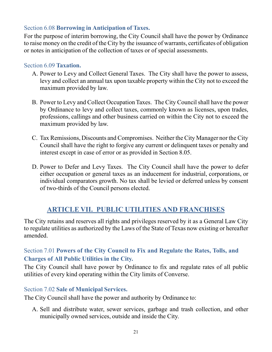# <span id="page-21-0"></span>Section 6.08 **Borrowing in Anticipation of Taxes.**

For the purpose of interim borrowing, the City Council shall have the power by Ordinance to raise money on the credit of the City by the issuance of warrants, certificates of obligation or notes in anticipation of the collection of taxes or of special assessments.

#### <span id="page-21-1"></span>Section 6.09 **Taxation.**

- A. Power to Levy and Collect General Taxes. The City shall have the power to assess, levy and collect an annual tax upon taxable property within the City not to exceed the maximum provided by law.
- B. Power to Levy and Collect Occupation Taxes. The City Council shall have the power by Ordinance to levy and collect taxes, commonly known as licenses, upon trades, professions, callings and other business carried on within the City not to exceed the maximum provided by law.
- C. Tax Remissions, Discounts and Compromises. Neither the City Manager nor the City Council shall have the right to forgive any current or delinquent taxes or penalty and interest except in case of error or as provided in Section 8.05.
- D. Power to Defer and Levy Taxes. The City Council shall have the power to defer either occupation or general taxes as an inducement for industrial, corporations, or individual comparators growth. No tax shall be levied or deferred unless by consent of two-thirds of the Council persons elected.

# **ARTICLE VII. PUBLIC UTILITIES AND FRANCHISES**

<span id="page-21-2"></span>The City retains and reserves all rights and privileges reserved by it as a General Law City to regulate utilities as authorized by the Laws of the State of Texas now existing or hereafter amended.

# <span id="page-21-3"></span>Section 7.01 **Powers of the City Council to Fix and Regulate the Rates, Tolls, and Charges of All Public Utilities in the City.**

The City Council shall have power by Ordinance to fix and regulate rates of all public utilities of every kind operating within the City limits of Converse.

# <span id="page-21-4"></span>Section 7.02 **Sale of Municipal Services.**

The City Council shall have the power and authority by Ordinance to:

A. Sell and distribute water, sewer services, garbage and trash collection, and other municipally owned services, outside and inside the City.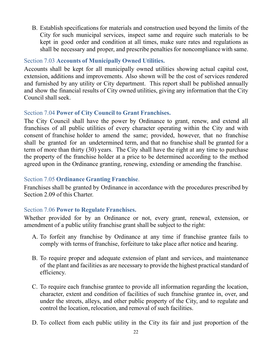B. Establish specifications for materials and construction used beyond the limits of the City for such municipal services, inspect same and require such materials to be kept in good order and condition at all times, make sure rates and regulations as shall be necessary and proper, and prescribe penalties for noncompliance with same.

# <span id="page-22-0"></span>Section 7.03 **Accounts of Municipally Owned Utilities.**

Accounts shall be kept for all municipally owned utilities showing actual capital cost, extension, additions and improvements. Also shown will be the cost of services rendered and furnished by any utility or City department. This report shall be published annually and show the financial results of City owned utilities, giving any information that the City Council shall seek.

# <span id="page-22-1"></span>Section 7.04 **Power of City Council to Grant Franchises.**

The City Council shall have the power by Ordinance to grant, renew, and extend all franchises of all public utilities of every character operating within the City and with consent of franchise holder to amend the same; provided, however, that no franchise shall be granted for an undetermined term, and that no franchise shall be granted for a term of more than thirty (30) years. The City shall have the right at any time to purchase the property of the franchise holder at a price to be determined according to the method agreed upon in the Ordinance granting, renewing, extending or amending the franchise.

# <span id="page-22-2"></span>Section 7.05 **Ordinance Granting Franchise**.

Franchises shall be granted by Ordinance in accordance with the procedures prescribed by Section 2.09 of this Charter.

# <span id="page-22-3"></span>Section 7.06 **Power to Regulate Franchises.**

Whether provided for by an Ordinance or not, every grant, renewal, extension, or amendment of a public utility franchise grant shall be subject to the right:

- A. To forfeit any franchise by Ordinance at any time if franchise grantee fails to comply with terms of franchise, forfeiture to take place after notice and hearing.
- B. To require proper and adequate extension of plant and services, and maintenance of the plant and facilities as are necessary to provide the highest practical standard of efficiency.
- C. To require each franchise grantee to provide all information regarding the location, character, extent and condition of facilities of such franchise grantee in, over, and under the streets, alleys, and other public property of the City, and to regulate and control the location, relocation, and removal of such facilities.
- D. To collect from each public utility in the City its fair and just proportion of the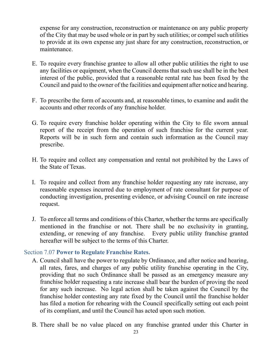expense for any construction, reconstruction or maintenance on any public property of the City that may be used whole or in part by such utilities; or compel such utilities to provide at its own expense any just share for any construction, reconstruction, or maintenance.

- E. To require every franchise grantee to allow all other public utilities the right to use any facilities or equipment, when the Council deems that such use shall be in the best interest of the public, provided that a reasonable rental rate has been fixed by the Council and paid to the owner of the facilities and equipment after notice and hearing.
- F. To prescribe the form of accounts and, at reasonable times, to examine and audit the accounts and other records of any franchise holder.
- G. To require every franchise holder operating within the City to file sworn annual report of the receipt from the operation of such franchise for the current year. Reports will be in such form and contain such information as the Council may prescribe.
- H. To require and collect any compensation and rental not prohibited by the Laws of the State of Texas.
- I. To require and collect from any franchise holder requesting any rate increase, any reasonable expenses incurred due to employment of rate consultant for purpose of conducting investigation, presenting evidence, or advising Council on rate increase request.
- J. To enforce all terms and conditions of this Charter, whether the terms are specifically mentioned in the franchise or not. There shall be no exclusivity in granting, extending, or renewing of any franchise. Every public utility franchise granted hereafter will be subject to the terms of this Charter.

#### <span id="page-23-0"></span>Section 7.07 **Power to Regulate Franchise Rates.**

- A. Council shall have the power to regulate by Ordinance, and after notice and hearing, all rates, fares, and charges of any public utility franchise operating in the City, providing that no such Ordinance shall be passed as an emergency measure any franchise holder requesting a rate increase shall bear the burden of proving the need for any such increase. No legal action shall be taken against the Council by the franchise holder contesting any rate fixed by the Council until the franchise holder has filed a motion for rehearing with the Council specifically setting out each point of its compliant, and until the Council has acted upon such motion.
- B. There shall be no value placed on any franchise granted under this Charter in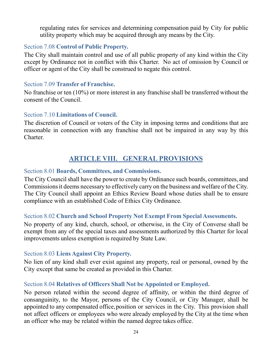regulating rates for services and determining compensation paid by City for public utility property which may be acquired through any means by the City.

# <span id="page-24-0"></span>Section 7.08 **Control of Public Property.**

The City shall maintain control and use of all public property of any kind within the City except by Ordinance not in conflict with this Charter. No act of omission by Council or officer or agent of the City shall be construed to negate this control.

#### <span id="page-24-1"></span>Section 7.09 **Transfer of Franchise.**

No franchise or ten (10%) or more interest in any franchise shall be transferred without the consent of the Council.

#### <span id="page-24-2"></span>Section 7.10 **Limitations of Council.**

The discretion of Council or voters of the City in imposing terms and conditions that are reasonable in connection with any franchise shall not be impaired in any way by this Charter.

# **ARTICLE VIII. GENERAL PROVISIONS**

#### <span id="page-24-4"></span><span id="page-24-3"></span>Section 8.01 **Boards, Committees, and Commissions.**

The City Council shall have the power to create by Ordinance such boards, committees, and Commissions it deems necessary to effectively carry on the business and welfare of the City. The City Council shall appoint an Ethics Review Board whose duties shall be to ensure compliance with an established Code of Ethics City Ordinance.

#### <span id="page-24-5"></span>Section 8.02 **Church and School Property Not Exempt From Special Assessments.**

No property of any kind, church, school, or otherwise, in the City of Converse shall be exempt from any of the special taxes and assessments authorized by this Charter for local improvements unless exemption is required by State Law.

# <span id="page-24-6"></span>Section 8.03 **Liens Against City Property.**

No lien of any kind shall ever exist against any property, real or personal, owned by the City except that same be created as provided in this Charter.

# <span id="page-24-7"></span>Section 8.04 **Relatives of Officers Shall Not be Appointed or Employed.**

No person related within the second degree of affinity, or within the third degree of consanguinity, to the Mayor, persons of the City Council, or City Manager, shall be appointed to any compensated office,position or services in the City. This provision shall not affect officers or employees who were already employed by the City at the time when an officer who may be related within the named degree takes office.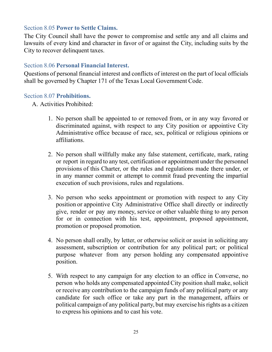### <span id="page-25-0"></span>Section 8.05 **Power to Settle Claims.**

The City Council shall have the power to compromise and settle any and all claims and lawsuits of every kind and character in favor of or against the City, including suits by the City to recover delinquent taxes.

#### <span id="page-25-1"></span>Section 8.06 **Personal Financial Interest.**

Questions of personal financial interest and conflicts of interest on the part of local officials shall be governed by Chapter 171 of the Texas Local Government Code.

#### <span id="page-25-2"></span>Section 8.07 **Prohibitions.**

A. Activities Prohibited:

- 1. No person shall be appointed to or removed from, or in any way favored or discriminated against, with respect to any City position or appointive City Administrative office because of race, sex, political or religious opinions or affiliations.
- 2. No person shall willfully make any false statement, certificate, mark, rating or report in regard to any test, certification or appointment under the personnel provisions of this Charter, or the rules and regulations made there under, or in any manner commit or attempt to commit fraud preventing the impartial execution of such provisions, rules and regulations.
- 3. No person who seeks appointment or promotion with respect to any City position or appointive City Administrative Office shall directly or indirectly give, render or pay any money, service or other valuable thing to any person for or in connection with his test, appointment, proposed appointment, promotion or proposed promotion.
- 4. No person shall orally, by letter, or otherwise solicit or assist in soliciting any assessment, subscription or contribution for any political part; or political purpose whatever from any person holding any compensated appointive position.
- 5. With respect to any campaign for any election to an office in Converse, no person who holds any compensated appointed City position shall make, solicit or receive any contribution to the campaign funds of any political party or any candidate for such office or take any part in the management, affairs or political campaign of any political party, but may exercise hisrights as a citizen to express his opinions and to cast his vote.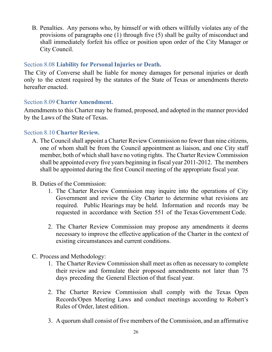B. Penalties. Any persons who, by himself or with others willfully violates any of the provisions of paragraphs one (1) through five (5) shall be guilty of misconduct and shall immediately forfeit his office or position upon order of the City Manager or City Council.

#### <span id="page-26-0"></span>Section 8.08 **Liability for Personal Injuries or Death.**

The City of Converse shall be liable for money damages for personal injuries or death only to the extent required by the statutes of the State of Texas or amendments thereto hereafter enacted.

#### <span id="page-26-1"></span>Section 8.09 **Charter Amendment.**

Amendments to this Charter may be framed, proposed, and adopted in the manner provided by the Laws of the State of Texas.

#### <span id="page-26-2"></span>Section 8.10 **Charter Review.**

- A. The Council shall appoint a Charter Review Commission no fewer than nine citizens, one of whom shall be from the Council appointment as liaison, and one City staff member, both of which shall have no voting rights. The Charter Review Commission shall be appointed every five years beginning in fiscal year 2011-2012. The members shall be appointed during the first Council meeting of the appropriate fiscal year.
- B. Duties of the Commission:
	- 1. The Charter Review Commission may inquire into the operations of City Government and review the City Charter to determine what revisions are required. Public Hearings may be held. Information and records may be requested in accordance with Section 551 of the Texas Government Code.
	- 2. The Charter Review Commission may propose any amendments it deems necessary to improve the effective application of the Charter in the context of existing circumstances and current conditions.
- C. Process and Methodology:
	- 1. The Charter Review Commission shall meet as often as necessary to complete their review and formulate their proposed amendments not later than 75 days preceding the General Election of that fiscal year.
	- 2. The Charter Review Commission shall comply with the Texas Open Records/Open Meeting Laws and conduct meetings according to Robert's Rules of Order, latest edition.
	- 3. A quorum shall consist of five members of the Commission, and an affirmative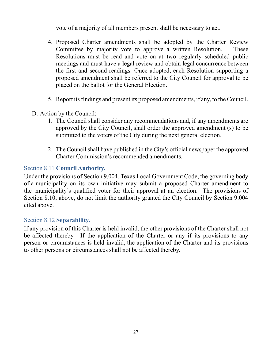vote of a majority of all members present shall be necessary to act.

- 4. Proposed Charter amendments shall be adopted by the Charter Review Committee by majority vote to approve a written Resolution. These Resolutions must be read and vote on at two regularly scheduled public meetings and must have a legal review and obtain legal concurrence between the first and second readings. Once adopted, each Resolution supporting a proposed amendment shall be referred to the City Council for approval to be placed on the ballot for the General Election.
- 5. Report itsfindings and present its proposed amendments, if any, to the Council.
- D. Action by the Council:
	- 1. The Council shall consider any recommendations and, if any amendments are approved by the City Council, shall order the approved amendment (s) to be submitted to the voters of the City during the next general election.
	- 2. The Council shall have published in the City's official newspaper the approved Charter Commission's recommended amendments.

# <span id="page-27-0"></span>Section 8.11 **Council Authority.**

Under the provisions of Section 9.004, Texas Local Government Code, the governing body of a municipality on its own initiative may submit a proposed Charter amendment to the municipality's qualified voter for their approval at an election. The provisions of Section 8.10, above, do not limit the authority granted the City Council by Section 9.004 cited above.

#### <span id="page-27-1"></span>Section 8.12 **Separability.**

If any provision of this Charter is held invalid, the other provisions of the Charter shall not be affected thereby. If the application of the Charter or any if its provisions to any person or circumstances is held invalid, the application of the Charter and its provisions to other persons or circumstances shall not be affected thereby.